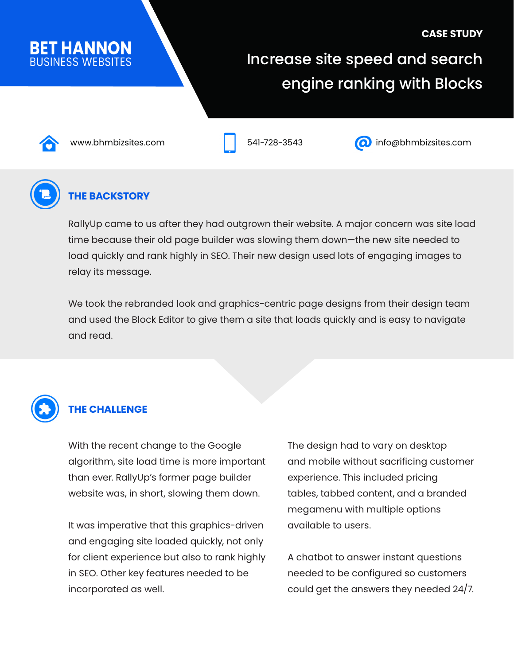# **CASE STUDY BET HANNON** Increase site speed and search engine ranking with Blocks





www.bhmbizsites.com 541-728-3543 info@bhmbizsites.com



### **THE BACKSTORY**

RallyUp came to us after they had outgrown their website. A major concern was site load time because their old page builder was slowing them down—the new site needed to load quickly and rank highly in SEO. Their new design used lots of engaging images to relay its message.

We took the rebranded look and graphics-centric page designs from their design team and used the Block Editor to give them a site that loads quickly and is easy to navigate and read.



### **THE CHALLENGE**

With the recent change to the Google algorithm, site load time is more important than ever. RallyUp's former page builder website was, in short, slowing them down.

It was imperative that this graphics-driven and engaging site loaded quickly, not only for client experience but also to rank highly in SEO. Other key features needed to be incorporated as well.

The design had to vary on desktop and mobile without sacrificing customer experience. This included pricing tables, tabbed content, and a branded megamenu with multiple options available to users.

A chatbot to answer instant questions needed to be configured so customers could get the answers they needed 24/7.